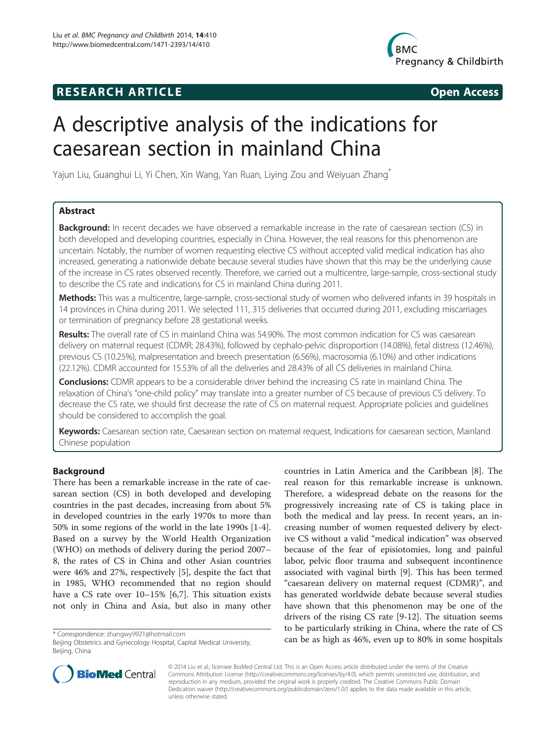# **RESEARCH ARTICLE Example 2014 CONSIDERING CONSIDERING CONSIDERING CONSIDERING CONSIDERING CONSIDERING CONSIDERING CONSIDERING CONSIDERING CONSIDERING CONSIDERING CONSIDERING CONSIDERING CONSIDERING CONSIDERING CONSIDE**



# A descriptive analysis of the indications for caesarean section in mainland China

Yajun Liu, Guanghui Li, Yi Chen, Xin Wang, Yan Ruan, Liying Zou and Weiyuan Zhang\*

# Abstract

**Background:** In recent decades we have observed a remarkable increase in the rate of caesarean section (CS) in both developed and developing countries, especially in China. However, the real reasons for this phenomenon are uncertain. Notably, the number of women requesting elective CS without accepted valid medical indication has also increased, generating a nationwide debate because several studies have shown that this may be the underlying cause of the increase in CS rates observed recently. Therefore, we carried out a multicentre, large-sample, cross-sectional study to describe the CS rate and indications for CS in mainland China during 2011.

Methods: This was a multicentre, large-sample, cross-sectional study of women who delivered infants in 39 hospitals in 14 provinces in China during 2011. We selected 111, 315 deliveries that occurred during 2011, excluding miscarriages or termination of pregnancy before 28 gestational weeks.

Results: The overall rate of CS in mainland China was 54.90%. The most common indication for CS was caesarean delivery on maternal request (CDMR; 28.43%), followed by cephalo-pelvic disproportion (14.08%), fetal distress (12.46%), previous CS (10.25%), malpresentation and breech presentation (6.56%), macrosomia (6.10%) and other indications (22.12%). CDMR accounted for 15.53% of all the deliveries and 28.43% of all CS deliveries in mainland China.

**Conclusions:** CDMR appears to be a considerable driver behind the increasing CS rate in mainland China. The relaxation of China's "one-child policy" may translate into a greater number of CS because of previous CS delivery. To decrease the CS rate, we should first decrease the rate of CS on maternal request. Appropriate policies and guidelines should be considered to accomplish the goal.

Keywords: Caesarean section rate, Caesarean section on maternal request, Indications for caesarean section, Mainland Chinese population

# Background

There has been a remarkable increase in the rate of caesarean section (CS) in both developed and developing countries in the past decades, increasing from about 5% in developed countries in the early 1970s to more than 50% in some regions of the world in the late 1990s [[1-4](#page-7-0)]. Based on a survey by the World Health Organization (WHO) on methods of delivery during the period 2007– 8, the rates of CS in China and other Asian countries were 46% and 27%, respectively [\[5](#page-7-0)], despite the fact that in 1985, WHO recommended that no region should have a CS rate over 10–15% [[6,7\]](#page-7-0). This situation exists not only in China and Asia, but also in many other

countries in Latin America and the Caribbean [\[8\]](#page-7-0). The real reason for this remarkable increase is unknown. Therefore, a widespread debate on the reasons for the progressively increasing rate of CS is taking place in both the medical and lay press. In recent years, an increasing number of women requested delivery by elective CS without a valid "medical indication" was observed because of the fear of episiotomies, long and painful labor, pelvic floor trauma and subsequent incontinence associated with vaginal birth [[9\]](#page-7-0). This has been termed "caesarean delivery on maternal request (CDMR)", and has generated worldwide debate because several studies have shown that this phenomenon may be one of the drivers of the rising CS rate [\[9-](#page-7-0)[12](#page-8-0)]. The situation seems to be particularly striking in China, where the rate of CS \* Correspondence: [zhangwy9921@hotmail.com](mailto:zhangwy9921@hotmail.com)<br>Reiling Obstetrics and Gynecology Hospital Capital Medical University **can be as high as 46%, even up to 80% in some hospitals** 



© 2014 Liu et al.; licensee BioMed Central Ltd. This is an Open Access article distributed under the terms of the Creative Commons Attribution License [\(http://creativecommons.org/licenses/by/4.0\)](http://creativecommons.org/licenses/by/4.0), which permits unrestricted use, distribution, and reproduction in any medium, provided the original work is properly credited. The Creative Commons Public Domain Dedication waiver [\(http://creativecommons.org/publicdomain/zero/1.0/](http://creativecommons.org/publicdomain/zero/1.0/)) applies to the data made available in this article, unless otherwise stated.

Beijing Obstetrics and Gynecology Hospital, Capital Medical University, Beijing, China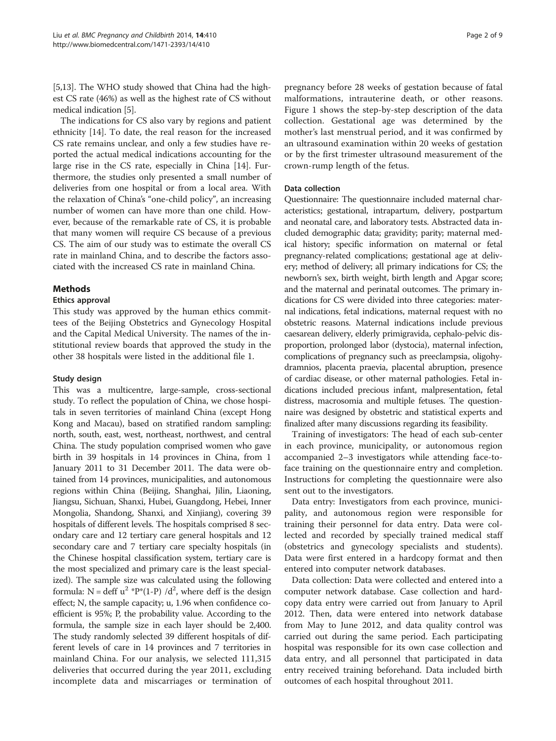[[5,](#page-7-0)[13](#page-8-0)]. The WHO study showed that China had the highest CS rate (46%) as well as the highest rate of CS without medical indication [[5\]](#page-7-0).

The indications for CS also vary by regions and patient ethnicity [[14\]](#page-8-0). To date, the real reason for the increased CS rate remains unclear, and only a few studies have reported the actual medical indications accounting for the large rise in the CS rate, especially in China [[14\]](#page-8-0). Furthermore, the studies only presented a small number of deliveries from one hospital or from a local area. With the relaxation of China's "one-child policy", an increasing number of women can have more than one child. However, because of the remarkable rate of CS, it is probable that many women will require CS because of a previous CS. The aim of our study was to estimate the overall CS rate in mainland China, and to describe the factors associated with the increased CS rate in mainland China.

# Methods

# Ethics approval

This study was approved by the human ethics committees of the Beijing Obstetrics and Gynecology Hospital and the Capital Medical University. The names of the institutional review boards that approved the study in the other 38 hospitals were listed in the additional file [1](#page-7-0).

# Study design

This was a multicentre, large-sample, cross-sectional study. To reflect the population of China, we chose hospitals in seven territories of mainland China (except Hong Kong and Macau), based on stratified random sampling: north, south, east, west, northeast, northwest, and central China. The study population comprised women who gave birth in 39 hospitals in 14 provinces in China, from 1 January 2011 to 31 December 2011. The data were obtained from 14 provinces, municipalities, and autonomous regions within China (Beijing, Shanghai, Jilin, Liaoning, Jiangsu, Sichuan, Shanxi, Hubei, Guangdong, Hebei, Inner Mongolia, Shandong, Shanxi, and Xinjiang), covering 39 hospitals of different levels. The hospitals comprised 8 secondary care and 12 tertiary care general hospitals and 12 secondary care and 7 tertiary care specialty hospitals (in the Chinese hospital classification system, tertiary care is the most specialized and primary care is the least specialized). The sample size was calculated using the following formula:  $N = \text{deff } u^2 * P^*(1-P) / d^2$ , where deff is the design effect; N, the sample capacity; u, 1.96 when confidence coefficient is 95%; P, the probability value. According to the formula, the sample size in each layer should be 2,400. The study randomly selected 39 different hospitals of different levels of care in 14 provinces and 7 territories in mainland China. For our analysis, we selected 111,315 deliveries that occurred during the year 2011, excluding incomplete data and miscarriages or termination of pregnancy before 28 weeks of gestation because of fatal malformations, intrauterine death, or other reasons. Figure [1](#page-2-0) shows the step-by-step description of the data collection. Gestational age was determined by the mother's last menstrual period, and it was confirmed by an ultrasound examination within 20 weeks of gestation or by the first trimester ultrasound measurement of the crown-rump length of the fetus.

# Data collection

Questionnaire: The questionnaire included maternal characteristics; gestational, intrapartum, delivery, postpartum and neonatal care, and laboratory tests. Abstracted data included demographic data; gravidity; parity; maternal medical history; specific information on maternal or fetal pregnancy-related complications; gestational age at delivery; method of delivery; all primary indications for CS; the newborn's sex, birth weight, birth length and Apgar score; and the maternal and perinatal outcomes. The primary indications for CS were divided into three categories: maternal indications, fetal indications, maternal request with no obstetric reasons. Maternal indications include previous caesarean delivery, elderly primigravida, cephalo-pelvic disproportion, prolonged labor (dystocia), maternal infection, complications of pregnancy such as preeclampsia, oligohydramnios, placenta praevia, placental abruption, presence of cardiac disease, or other maternal pathologies. Fetal indications included precious infant, malpresentation, fetal distress, macrosomia and multiple fetuses. The questionnaire was designed by obstetric and statistical experts and finalized after many discussions regarding its feasibility.

Training of investigators: The head of each sub-center in each province, municipality, or autonomous region accompanied 2–3 investigators while attending face-toface training on the questionnaire entry and completion. Instructions for completing the questionnaire were also sent out to the investigators.

Data entry: Investigators from each province, municipality, and autonomous region were responsible for training their personnel for data entry. Data were collected and recorded by specially trained medical staff (obstetrics and gynecology specialists and students). Data were first entered in a hardcopy format and then entered into computer network databases.

Data collection: Data were collected and entered into a computer network database. Case collection and hardcopy data entry were carried out from January to April 2012. Then, data were entered into network database from May to June 2012, and data quality control was carried out during the same period. Each participating hospital was responsible for its own case collection and data entry, and all personnel that participated in data entry received training beforehand. Data included birth outcomes of each hospital throughout 2011.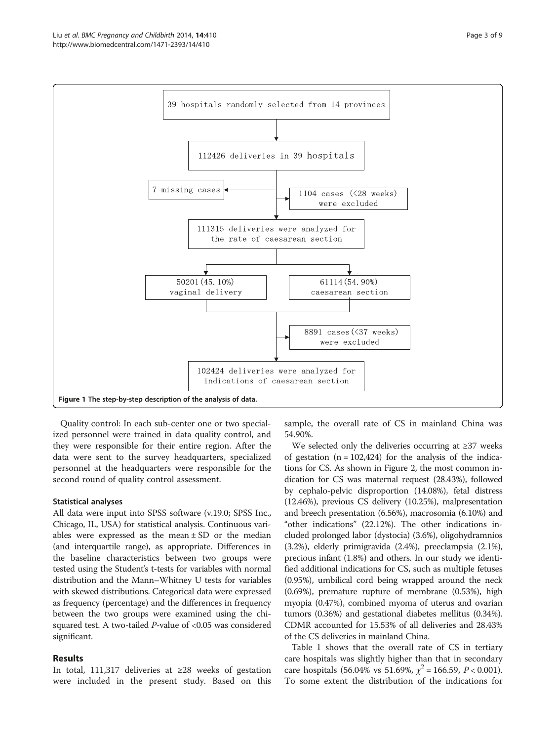<span id="page-2-0"></span>

Quality control: In each sub-center one or two specialized personnel were trained in data quality control, and they were responsible for their entire region. After the data were sent to the survey headquarters, specialized personnel at the headquarters were responsible for the second round of quality control assessment.

#### Statistical analyses

All data were input into SPSS software (v.19.0; SPSS Inc., Chicago, IL, USA) for statistical analysis. Continuous variables were expressed as the mean  $\pm$  SD or the median (and interquartile range), as appropriate. Differences in the baseline characteristics between two groups were tested using the Student's t-tests for variables with normal distribution and the Mann–Whitney U tests for variables with skewed distributions. Categorical data were expressed as frequency (percentage) and the differences in frequency between the two groups were examined using the chisquared test. A two-tailed P-value of <0.05 was considered significant.

#### Results

In total, 111,317 deliveries at ≥28 weeks of gestation were included in the present study. Based on this

sample, the overall rate of CS in mainland China was 54.90%.

We selected only the deliveries occurring at ≥37 weeks of gestation  $(n = 102, 424)$  for the analysis of the indications for CS. As shown in Figure [2,](#page-3-0) the most common indication for CS was maternal request (28.43%), followed by cephalo-pelvic disproportion (14.08%), fetal distress (12.46%), previous CS delivery (10.25%), malpresentation and breech presentation (6.56%), macrosomia (6.10%) and "other indications" (22.12%). The other indications included prolonged labor (dystocia) (3.6%), oligohydramnios (3.2%), elderly primigravida (2.4%), preeclampsia (2.1%), precious infant (1.8%) and others. In our study we identified additional indications for CS, such as multiple fetuses (0.95%), umbilical cord being wrapped around the neck (0.69%), premature rupture of membrane (0.53%), high myopia (0.47%), combined myoma of uterus and ovarian tumors (0.36%) and gestational diabetes mellitus (0.34%). CDMR accounted for 15.53% of all deliveries and 28.43% of the CS deliveries in mainland China.

Table [1](#page-3-0) shows that the overall rate of CS in tertiary care hospitals was slightly higher than that in secondary care hospitals (56.04% vs 51.69%,  $\chi^2$  = 166.59, *P* < 0.001). To some extent the distribution of the indications for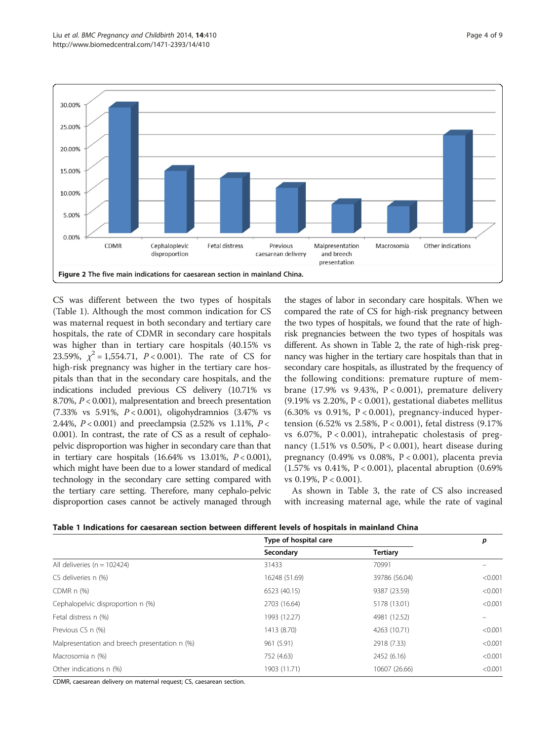<span id="page-3-0"></span>

CS was different between the two types of hospitals (Table 1). Although the most common indication for CS was maternal request in both secondary and tertiary care hospitals, the rate of CDMR in secondary care hospitals was higher than in tertiary care hospitals (40.15% vs 23.59%,  $\chi^2 = 1.554.71$ ,  $P < 0.001$ ). The rate of CS for high-risk pregnancy was higher in the tertiary care hospitals than that in the secondary care hospitals, and the indications included previous CS delivery (10.71% vs 8.70%, P < 0.001), malpresentation and breech presentation (7.33% vs 5.91%, P < 0.001), oligohydramnios (3.47% vs 2.44%,  $P < 0.001$ ) and preeclampsia (2.52% vs 1.11%,  $P <$ 0.001). In contrast, the rate of CS as a result of cephalopelvic disproportion was higher in secondary care than that in tertiary care hospitals  $(16.64\% \text{ vs } 13.01\%, P < 0.001)$ , which might have been due to a lower standard of medical technology in the secondary care setting compared with the tertiary care setting. Therefore, many cephalo-pelvic disproportion cases cannot be actively managed through

the stages of labor in secondary care hospitals. When we compared the rate of CS for high-risk pregnancy between the two types of hospitals, we found that the rate of highrisk pregnancies between the two types of hospitals was different. As shown in Table [2,](#page-4-0) the rate of high-risk pregnancy was higher in the tertiary care hospitals than that in secondary care hospitals, as illustrated by the frequency of the following conditions: premature rupture of membrane (17.9% vs 9.43%,  $P < 0.001$ ), premature delivery (9.19% vs 2.20%,  $P < 0.001$ ), gestational diabetes mellitus  $(6.30\%$  vs 0.91%,  $P < 0.001$ ), pregnancy-induced hypertension (6.52% vs 2.58%, P < 0.001), fetal distress (9.17% vs  $6.07\%$ ,  $P < 0.001$ ), intrahepatic cholestasis of pregnancy (1.51% vs 0.50%,  $P < 0.001$ ), heart disease during pregnancy (0.49% vs 0.08%, P < 0.001), placenta previa (1.57% vs 0.41%, P < 0.001), placental abruption (0.69% vs 0.19%, P < 0.001).

As shown in Table [3,](#page-4-0) the rate of CS also increased with increasing maternal age, while the rate of vaginal

|  |  |  |  |  | Table 1 Indications for caesarean section between different levels of hospitals in mainland China |  |
|--|--|--|--|--|---------------------------------------------------------------------------------------------------|--|
|--|--|--|--|--|---------------------------------------------------------------------------------------------------|--|

|                                               | Type of hospital care |                 | р       |
|-----------------------------------------------|-----------------------|-----------------|---------|
|                                               | Secondary             | <b>Tertiary</b> |         |
| All deliveries ( $n = 102424$ )               | 31433                 | 70991           |         |
| CS deliveries n (%)                           | 16248 (51.69)         | 39786 (56.04)   | < 0.001 |
| $CDMR \n 0\%$                                 | 6523 (40.15)          | 9387 (23.59)    | < 0.001 |
| Cephalopelvic disproportion n (%)             | 2703 (16.64)          | 5178 (13.01)    | < 0.001 |
| Fetal distress n (%)                          | 1993 (12.27)          | 4981 (12.52)    |         |
| Previous CS n (%)                             | 1413 (8.70)           | 4263 (10.71)    | < 0.001 |
| Malpresentation and breech presentation n (%) | 961 (5.91)            | 2918 (7.33)     | < 0.001 |
| Macrosomia n (%)                              | 752 (4.63)            | 2452 (6.16)     | < 0.001 |
| Other indications n (%)                       | 1903 (11.71)          | 10607 (26.66)   | < 0.001 |

CDMR, caesarean delivery on maternal request; CS, caesarean section.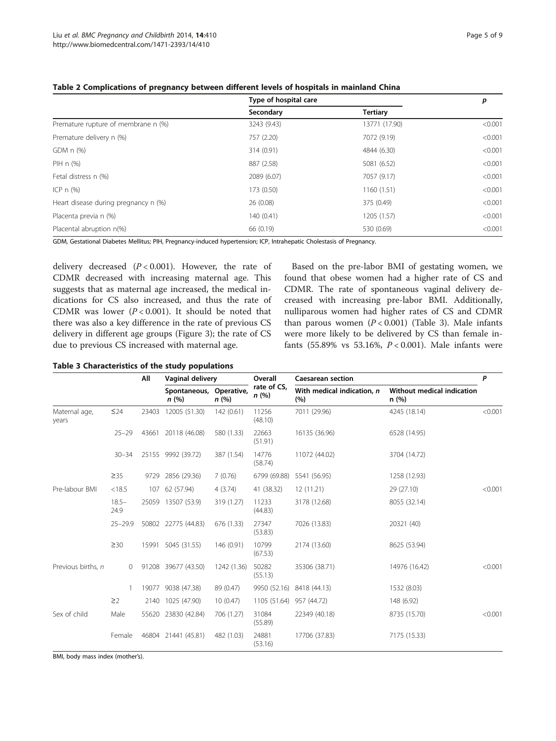| Type of hospital care |                 | р       |  |
|-----------------------|-----------------|---------|--|
| Secondary             | <b>Tertiary</b> |         |  |
| 3243 (9.43)           | 13771 (17.90)   | < 0.001 |  |
| 757 (2.20)            | 7072 (9.19)     | < 0.001 |  |
| 314 (0.91)            | 4844 (6.30)     | < 0.001 |  |
| 887 (2.58)            | 5081 (6.52)     | < 0.001 |  |
| 2089 (6.07)           | 7057 (9.17)     | < 0.001 |  |
| 173 (0.50)            | 1160 (1.51)     | < 0.001 |  |
| 26 (0.08)             | 375 (0.49)      | < 0.001 |  |
| 140(0.41)             | 1205 (1.57)     | < 0.001 |  |
| 66 (0.19)             | 530 (0.69)      | < 0.001 |  |
|                       |                 |         |  |

<span id="page-4-0"></span>

|  |  |  | Table 2 Complications of pregnancy between different levels of hospitals in mainland China |
|--|--|--|--------------------------------------------------------------------------------------------|
|--|--|--|--------------------------------------------------------------------------------------------|

GDM, Gestational Diabetes Mellitus; PIH, Pregnancy-induced hypertension; ICP, Intrahepatic Cholestasis of Pregnancy.

delivery decreased  $(P < 0.001)$ . However, the rate of CDMR decreased with increasing maternal age. This suggests that as maternal age increased, the medical indications for CS also increased, and thus the rate of CDMR was lower  $(P < 0.001)$ . It should be noted that there was also a key difference in the rate of previous CS delivery in different age groups (Figure [3\)](#page-5-0); the rate of CS due to previous CS increased with maternal age.

Based on the pre-labor BMI of gestating women, we found that obese women had a higher rate of CS and CDMR. The rate of spontaneous vaginal delivery decreased with increasing pre-labor BMI. Additionally, nulliparous women had higher rates of CS and CDMR than parous women  $(P < 0.001)$  (Table 3). Male infants were more likely to be delivered by CS than female infants (55.89% vs 53.16%,  $P < 0.001$ ). Male infants were

#### Table 3 Characteristics of the study populations

|                        |                  | All   | Vaginal delivery     |                    | Overall              | <b>Caesarean section</b>          |                                    |         |
|------------------------|------------------|-------|----------------------|--------------------|----------------------|-----------------------------------|------------------------------------|---------|
|                        |                  |       | Spontaneous,<br>n(%) | Operative,<br>n(%) | rate of CS,<br>n (%) | With medical indication, n<br>(%) | Without medical indication<br>n(%) |         |
| Maternal age,<br>years | $\leq$ 24        | 23403 | 12005 (51.30)        | 142 (0.61)         | 11256<br>(48.10)     | 7011 (29.96)                      | 4245 (18.14)                       | < 0.001 |
|                        | $25 - 29$        | 43661 | 20118 (46.08)        | 580 (1.33)         | 22663<br>(51.91)     | 16135 (36.96)                     | 6528 (14.95)                       |         |
|                        | $30 - 34$        |       | 25155 9992 (39.72)   | 387 (1.54)         | 14776<br>(58.74)     | 11072 (44.02)                     | 3704 (14.72)                       |         |
|                        | $\geq$ 35        | 9729  | 2856 (29.36)         | 7(0.76)            | 6799 (69.88)         | 5541 (56.95)                      | 1258 (12.93)                       |         |
| Pre-labour BMI         | < 18.5           | 107   | 62 (57.94)           | 4(3.74)            | 41 (38.32)           | 12 (11.21)                        | 29 (27.10)                         | < 0.001 |
|                        | $18.5 -$<br>24.9 |       | 25059 13507 (53.9)   | 319 (1.27)         | 11233<br>(44.83)     | 3178 (12.68)                      | 8055 (32.14)                       |         |
|                        | $25 - 29.9$      |       | 50802 22775 (44.83)  | 676 (1.33)         | 27347<br>(53.83)     | 7026 (13.83)                      | 20321 (40)                         |         |
|                        | $\geq$ 30        | 15991 | 5045 (31.55)         | 146 (0.91)         | 10799<br>(67.53)     | 2174 (13.60)                      | 8625 (53.94)                       |         |
| Previous births, n     | $\overline{0}$   | 91208 | 39677 (43.50)        | 1242 (1.36)        | 50282<br>(55.13)     | 35306 (38.71)                     | 14976 (16.42)                      | < 0.001 |
|                        |                  | 19077 | 9038 (47.38)         | 89 (0.47)          | 9950 (52.16)         | 8418 (44.13)                      | 1532 (8.03)                        |         |
|                        | $\geq$ 2         | 2140  | 1025 (47.90)         | 10(0.47)           | 1105 (51.64)         | 957 (44.72)                       | 148 (6.92)                         |         |
| Sex of child           | Male             | 55620 | 23830 (42.84)        | 706 (1.27)         | 31084<br>(55.89)     | 22349 (40.18)                     | 8735 (15.70)                       | < 0.001 |
|                        | Female           |       | 46804 21441 (45.81)  | 482 (1.03)         | 24881<br>(53.16)     | 17706 (37.83)                     | 7175 (15.33)                       |         |

BMI, body mass index (mother's).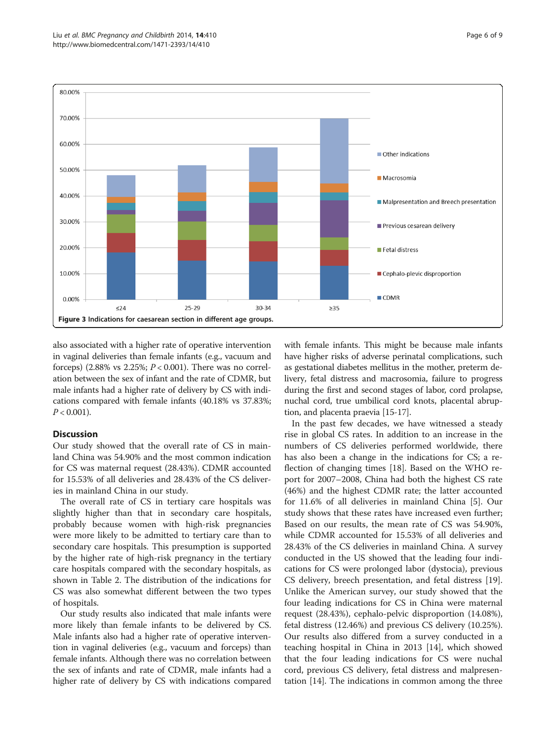<span id="page-5-0"></span>

also associated with a higher rate of operative intervention in vaginal deliveries than female infants (e.g., vacuum and forceps) (2.88% vs 2.25%;  $P < 0.001$ ). There was no correlation between the sex of infant and the rate of CDMR, but male infants had a higher rate of delivery by CS with indications compared with female infants (40.18% vs 37.83%;  $P < 0.001$ ).

# **Discussion**

Our study showed that the overall rate of CS in mainland China was 54.90% and the most common indication for CS was maternal request (28.43%). CDMR accounted for 15.53% of all deliveries and 28.43% of the CS deliveries in mainland China in our study.

The overall rate of CS in tertiary care hospitals was slightly higher than that in secondary care hospitals, probably because women with high-risk pregnancies were more likely to be admitted to tertiary care than to secondary care hospitals. This presumption is supported by the higher rate of high-risk pregnancy in the tertiary care hospitals compared with the secondary hospitals, as shown in Table [2.](#page-4-0) The distribution of the indications for CS was also somewhat different between the two types of hospitals.

Our study results also indicated that male infants were more likely than female infants to be delivered by CS. Male infants also had a higher rate of operative intervention in vaginal deliveries (e.g., vacuum and forceps) than female infants. Although there was no correlation between the sex of infants and rate of CDMR, male infants had a higher rate of delivery by CS with indications compared

with female infants. This might be because male infants have higher risks of adverse perinatal complications, such as gestational diabetes mellitus in the mother, preterm delivery, fetal distress and macrosomia, failure to progress during the first and second stages of labor, cord prolapse, nuchal cord, true umbilical cord knots, placental abruption, and placenta praevia [[15](#page-8-0)-[17](#page-8-0)].

In the past few decades, we have witnessed a steady rise in global CS rates. In addition to an increase in the numbers of CS deliveries performed worldwide, there has also been a change in the indications for CS; a reflection of changing times [[18](#page-8-0)]. Based on the WHO report for 2007–2008, China had both the highest CS rate (46%) and the highest CDMR rate; the latter accounted for 11.6% of all deliveries in mainland China [[5\]](#page-7-0). Our study shows that these rates have increased even further; Based on our results, the mean rate of CS was 54.90%, while CDMR accounted for 15.53% of all deliveries and 28.43% of the CS deliveries in mainland China. A survey conducted in the US showed that the leading four indications for CS were prolonged labor (dystocia), previous CS delivery, breech presentation, and fetal distress [\[19](#page-8-0)]. Unlike the American survey, our study showed that the four leading indications for CS in China were maternal request (28.43%), cephalo-pelvic disproportion (14.08%), fetal distress (12.46%) and previous CS delivery (10.25%). Our results also differed from a survey conducted in a teaching hospital in China in 2013 [[14\]](#page-8-0), which showed that the four leading indications for CS were nuchal cord, previous CS delivery, fetal distress and malpresentation [[14\]](#page-8-0). The indications in common among the three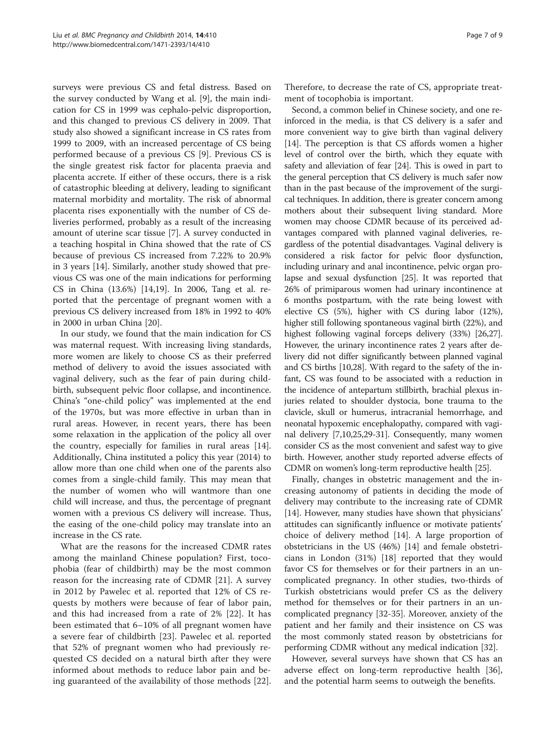surveys were previous CS and fetal distress. Based on the survey conducted by Wang et al. [\[9\]](#page-7-0), the main indication for CS in 1999 was cephalo-pelvic disproportion, and this changed to previous CS delivery in 2009. That study also showed a significant increase in CS rates from 1999 to 2009, with an increased percentage of CS being performed because of a previous CS [[9\]](#page-7-0). Previous CS is the single greatest risk factor for placenta praevia and placenta accrete. If either of these occurs, there is a risk of catastrophic bleeding at delivery, leading to significant maternal morbidity and mortality. The risk of abnormal placenta rises exponentially with the number of CS deliveries performed, probably as a result of the increasing amount of uterine scar tissue [[7](#page-7-0)]. A survey conducted in a teaching hospital in China showed that the rate of CS because of previous CS increased from 7.22% to 20.9% in 3 years [\[14](#page-8-0)]. Similarly, another study showed that previous CS was one of the main indications for performing CS in China (13.6%) [\[14,19](#page-8-0)]. In 2006, Tang et al. reported that the percentage of pregnant women with a previous CS delivery increased from 18% in 1992 to 40% in 2000 in urban China [\[20](#page-8-0)].

In our study, we found that the main indication for CS was maternal request. With increasing living standards, more women are likely to choose CS as their preferred method of delivery to avoid the issues associated with vaginal delivery, such as the fear of pain during childbirth, subsequent pelvic floor collapse, and incontinence. China's "one-child policy" was implemented at the end of the 1970s, but was more effective in urban than in rural areas. However, in recent years, there has been some relaxation in the application of the policy all over the country, especially for families in rural areas [\[14](#page-8-0)]. Additionally, China instituted a policy this year (2014) to allow more than one child when one of the parents also comes from a single-child family. This may mean that the number of women who will wantmore than one child will increase, and thus, the percentage of pregnant women with a previous CS delivery will increase. Thus, the easing of the one-child policy may translate into an increase in the CS rate.

What are the reasons for the increased CDMR rates among the mainland Chinese population? First, tocophobia (fear of childbirth) may be the most common reason for the increasing rate of CDMR [[21\]](#page-8-0). A survey in 2012 by Pawelec et al. reported that 12% of CS requests by mothers were because of fear of labor pain, and this had increased from a rate of 2% [[22\]](#page-8-0). It has been estimated that 6–10% of all pregnant women have a severe fear of childbirth [[23](#page-8-0)]. Pawelec et al. reported that 52% of pregnant women who had previously requested CS decided on a natural birth after they were informed about methods to reduce labor pain and being guaranteed of the availability of those methods [[22](#page-8-0)].

Therefore, to decrease the rate of CS, appropriate treatment of tocophobia is important.

Second, a common belief in Chinese society, and one reinforced in the media, is that CS delivery is a safer and more convenient way to give birth than vaginal delivery [[14](#page-8-0)]. The perception is that CS affords women a higher level of control over the birth, which they equate with safety and alleviation of fear [[24](#page-8-0)]. This is owed in part to the general perception that CS delivery is much safer now than in the past because of the improvement of the surgical techniques. In addition, there is greater concern among mothers about their subsequent living standard. More women may choose CDMR because of its perceived advantages compared with planned vaginal deliveries, regardless of the potential disadvantages. Vaginal delivery is considered a risk factor for pelvic floor dysfunction, including urinary and anal incontinence, pelvic organ prolapse and sexual dysfunction [\[25\]](#page-8-0). It was reported that 26% of primiparous women had urinary incontinence at 6 months postpartum, with the rate being lowest with elective CS (5%), higher with CS during labor (12%), higher still following spontaneous vaginal birth (22%), and highest following vaginal forceps delivery (33%) [\[26,27](#page-8-0)]. However, the urinary incontinence rates 2 years after delivery did not differ significantly between planned vaginal and CS births [\[10](#page-7-0)[,28\]](#page-8-0). With regard to the safety of the infant, CS was found to be associated with a reduction in the incidence of antepartum stillbirth, brachial plexus injuries related to shoulder dystocia, bone trauma to the clavicle, skull or humerus, intracranial hemorrhage, and neonatal hypoxemic encephalopathy, compared with vaginal delivery [\[7,10,](#page-7-0)[25,29](#page-8-0)-[31](#page-8-0)]. Consequently, many women consider CS as the most convenient and safest way to give birth. However, another study reported adverse effects of CDMR on women's long-term reproductive health [[25](#page-8-0)].

Finally, changes in obstetric management and the increasing autonomy of patients in deciding the mode of delivery may contribute to the increasing rate of CDMR [[14\]](#page-8-0). However, many studies have shown that physicians' attitudes can significantly influence or motivate patients' choice of delivery method [[14\]](#page-8-0). A large proportion of obstetricians in the US (46%) [[14](#page-8-0)] and female obstetricians in London (31%) [[18\]](#page-8-0) reported that they would favor CS for themselves or for their partners in an uncomplicated pregnancy. In other studies, two-thirds of Turkish obstetricians would prefer CS as the delivery method for themselves or for their partners in an uncomplicated pregnancy [[32-35](#page-8-0)]. Moreover, anxiety of the patient and her family and their insistence on CS was the most commonly stated reason by obstetricians for performing CDMR without any medical indication [[32](#page-8-0)].

However, several surveys have shown that CS has an adverse effect on long-term reproductive health [\[36](#page-8-0)], and the potential harm seems to outweigh the benefits.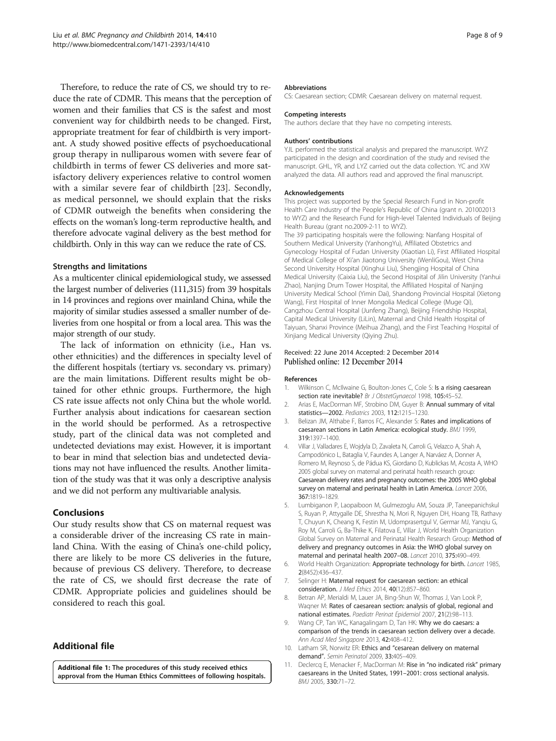<span id="page-7-0"></span>Therefore, to reduce the rate of CS, we should try to reduce the rate of CDMR. This means that the perception of women and their families that CS is the safest and most convenient way for childbirth needs to be changed. First, appropriate treatment for fear of childbirth is very important. A study showed positive effects of psychoeducational group therapy in nulliparous women with severe fear of childbirth in terms of fewer CS deliveries and more satisfactory delivery experiences relative to control women with a similar severe fear of childbirth [\[23](#page-8-0)]. Secondly, as medical personnel, we should explain that the risks of CDMR outweigh the benefits when considering the effects on the woman's long-term reproductive health, and therefore advocate vaginal delivery as the best method for childbirth. Only in this way can we reduce the rate of CS.

#### Strengths and limitations

As a multicenter clinical epidemiological study, we assessed the largest number of deliveries (111,315) from 39 hospitals in 14 provinces and regions over mainland China, while the majority of similar studies assessed a smaller number of deliveries from one hospital or from a local area. This was the major strength of our study.

The lack of information on ethnicity (i.e., Han vs. other ethnicities) and the differences in specialty level of the different hospitals (tertiary vs. secondary vs. primary) are the main limitations. Different results might be obtained for other ethnic groups. Furthermore, the high CS rate issue affects not only China but the whole world. Further analysis about indications for caesarean section in the world should be performed. As a retrospective study, part of the clinical data was not completed and undetected deviations may exist. However, it is important to bear in mind that selection bias and undetected deviations may not have influenced the results. Another limitation of the study was that it was only a descriptive analysis and we did not perform any multivariable analysis.

# **Conclusions**

Our study results show that CS on maternal request was a considerable driver of the increasing CS rate in mainland China. With the easing of China's one-child policy, there are likely to be more CS deliveries in the future, because of previous CS delivery. Therefore, to decrease the rate of CS, we should first decrease the rate of CDMR. Appropriate policies and guidelines should be considered to reach this goal.

# Additional file

[Additional file 1:](http://www.biomedcentral.com/content/supplementary/s12884-014-0410-2-s1.docx) The procedures of this study received ethics approval from the Human Ethics Committees of following hospitals.

#### Abbreviations

CS: Caesarean section; CDMR: Caesarean delivery on maternal request.

#### Competing interests

The authors declare that they have no competing interests.

#### Authors' contributions

YJL performed the statistical analysis and prepared the manuscript. WYZ participated in the design and coordination of the study and revised the manuscript. GHL, YR, and LYZ carried out the data collection. YC and XW analyzed the data. All authors read and approved the final manuscript.

#### Acknowledgements

This project was supported by the Special Research Fund in Non-profit Health Care Industry of the People's Republic of China (grant n. 201002013 to WYZ) and the Research Fund for High-level Talented Individuals of Beijing Health Bureau (grant no.2009-2-11 to WYZ).

The 39 participating hospitals were the following: Nanfang Hospital of Southern Medical University (YanhongYu), Affiliated Obstetrics and Gynecology Hospital of Fudan University (Xiaotian Li), First Affiliated Hospital of Medical College of Xi'an Jiaotong University (WenliGou), West China Second University Hospital (Xinghui Liu), Shengjing Hospital of China Medical University (Caixia Liu), the Second Hospital of Jilin University (Yanhui Zhao), Nanjing Drum Tower Hospital, the Affiliated Hospital of Nanjing University Medical School (Yimin Dai), Shandong Provincial Hospital (Xietong Wang), First Hospital of Inner Mongolia Medical College (Muge Qi), Cangzhou Central Hospital (Junfeng Zhang), Beijing Friendship Hospital, Capital Medical University (LiLin), Maternal and Child Health Hospital of Taiyuan, Shanxi Province (Meihua Zhang), and the First Teaching Hospital of Xinjiang Medical University (Qiying Zhu).

#### Received: 22 June 2014 Accepted: 2 December 2014 Published online: 12 December 2014

#### References

- 1. Wilkinson C, McIlwaine G, Boulton-Jones C, Cole S: Is a rising caesarean section rate inevitable? Br J ObstetGynaecol 1998, 105:45-52.
- 2. Arias E, MacDorman MF, Strobino DM, Guyer B: Annual summary of vital statistics—2002. Pediatrics 2003, 112:1215–1230.
- 3. Belizan JM, Althabe F, Barros FC, Alexander S: Rates and implications of caesarean sections in Latin America: ecological study. BMJ 1999, 319:1397–1400.
- 4. Villar J, Valladares E, Wojdyla D, Zavaleta N, Carroli G, Velazco A, Shah A, Campodónico L, Bataglia V, Faundes A, Langer A, Narváez A, Donner A, Romero M, Reynoso S, de Pádua KS, Giordano D, Kublickas M, Acosta A, WHO 2005 global survey on maternal and perinatal health research group: Caesarean delivery rates and pregnancy outcomes: the 2005 WHO global survey on maternal and perinatal health in Latin America. Lancet 2006, 367:1819–1829.
- 5. Lumbiganon P, Laopaiboon M, Gulmezoglu AM, Souza JP, Taneepanichskul S, Ruyan P, Attygalle DE, Shrestha N, Mori R, Nguyen DH, Hoang TB, Rathavy T, Chuyun K, Cheang K, Festin M, Udomprasertgul V, Germar MJ, Yanqiu G, Roy M, Carroli G, Ba-Thike K, Filatova E, Villar J, World Health Organization Global Survey on Maternal and Perinatal Health Research Group: Method of delivery and pregnancy outcomes in Asia: the WHO global survey on maternal and perinatal health 2007–08. Lancet 2010, 375:490–499.
- 6. World Health Organization: Appropriate technology for birth. Lancet 1985, 2(8452):436–437.
- 7. Selinger H: Maternal request for caesarean section: an ethical consideration. J Med Ethics 2014, 40(12):857–860.
- Betran AP, Merialdi M, Lauer JA, Bing-Shun W, Thomas J, Van Look P Waqner M: Rates of caesarean section: analysis of global, regional and national estimates. Paediatr Perinat Epidemiol 2007, 21(2):98–113.
- 9. Wang CP, Tan WC, Kanagalingam D, Tan HK: Why we do caesars: a comparison of the trends in caesarean section delivery over a decade. Ann Acad Med Singapore 2013, 42:408–412.
- 10. Latham SR, Norwitz ER: Ethics and "cesarean delivery on maternal demand". Semin Perinatol 2009, 33:405–409.
- 11. Declercq E, Menacker F, MacDorman M: Rise in "no indicated risk" primarv caesareans in the United States, 1991–2001: cross sectional analysis. BMJ 2005, 330:71–72.